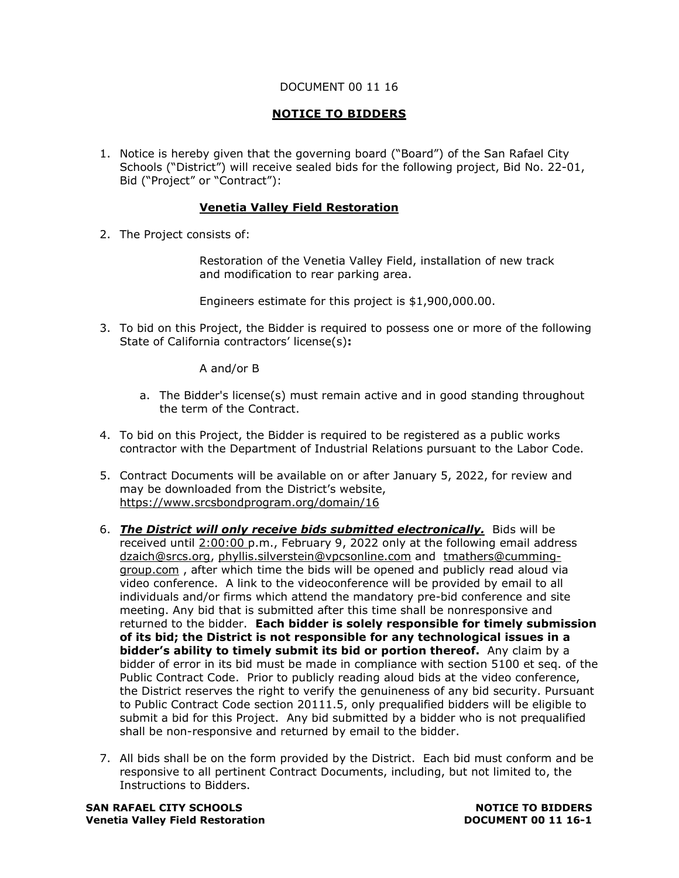## DOCUMENT 00 11 16

## **NOTICE TO BIDDERS**

1. Notice is hereby given that the governing board ("Board") of the San Rafael City Schools ("District") will receive sealed bids for the following project, Bid No. 22-01, Bid ("Project" or "Contract"):

## **Venetia Valley Field Restoration**

2. The Project consists of:

Restoration of the Venetia Valley Field, installation of new track and modification to rear parking area.

Engineers estimate for this project is \$1,900,000.00.

3. To bid on this Project, the Bidder is required to possess one or more of the following State of California contractors' license(s)**:** 

A and/or B

- a. The Bidder's license(s) must remain active and in good standing throughout the term of the Contract.
- 4. To bid on this Project, the Bidder is required to be registered as a public works contractor with the Department of Industrial Relations pursuant to the Labor Code.
- 5. Contract Documents will be available on or after January 5, 2022, for review and may be downloaded from the District's website, [https://www.srcsbondprogram.org/domain/16](https://protect-us.mimecast.com/s/G6EpCBBEYZFPQ1nwhzkfLA?domain=srcsbondprogram.org)
- 6. *The District will only receive bids submitted electronically.*Bids will be received until 2:00:00 p.m., February 9, 2022 only at the following email address [dzaich@srcs.org,](mailto:dzaich@srcs.org) [phyllis.silverstein@vpcsonline.com](mailto:phyllis.silverstein@vpcsonline.com) and [tmathers@cumming](mailto:tmathers@cumming-group.com)[group.com](mailto:tmathers@cumming-group.com) , after which time the bids will be opened and publicly read aloud via video conference. A link to the videoconference will be provided by email to all individuals and/or firms which attend the mandatory pre-bid conference and site meeting. Any bid that is submitted after this time shall be nonresponsive and returned to the bidder. **Each bidder is solely responsible for timely submission of its bid; the District is not responsible for any technological issues in a bidder's ability to timely submit its bid or portion thereof.** Any claim by a bidder of error in its bid must be made in compliance with section 5100 et seq. of the Public Contract Code. Prior to publicly reading aloud bids at the video conference, the District reserves the right to verify the genuineness of any bid security. Pursuant to Public Contract Code section 20111.5, only prequalified bidders will be eligible to submit a bid for this Project. Any bid submitted by a bidder who is not prequalified shall be non-responsive and returned by email to the bidder.
- 7. All bids shall be on the form provided by the District. Each bid must conform and be responsive to all pertinent Contract Documents, including, but not limited to, the Instructions to Bidders.

**SAN RAFAEL CITY SCHOOLS NOTICE TO BIDDERS Venetia Valley Field Restoration DOCUMENT 00 11 16-1**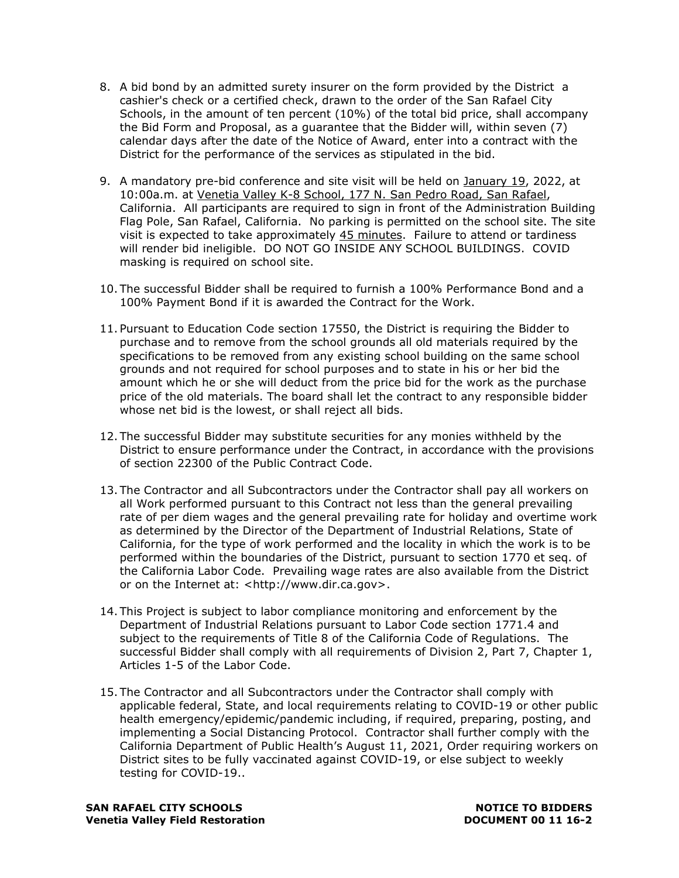- 8. A bid bond by an admitted surety insurer on the form provided by the District a cashier's check or a certified check, drawn to the order of the San Rafael City Schools, in the amount of ten percent (10%) of the total bid price, shall accompany the Bid Form and Proposal, as a guarantee that the Bidder will, within seven (7) calendar days after the date of the Notice of Award, enter into a contract with the District for the performance of the services as stipulated in the bid.
- 9. A mandatory pre-bid conference and site visit will be held on January 19, 2022, at 10:00a.m. at Venetia Valley K-8 School, 177 N. San Pedro Road, San Rafael, California. All participants are required to sign in front of the Administration Building Flag Pole, San Rafael, California. No parking is permitted on the school site. The site visit is expected to take approximately 45 minutes. Failure to attend or tardiness will render bid ineligible. DO NOT GO INSIDE ANY SCHOOL BUILDINGS. COVID masking is required on school site.
- 10. The successful Bidder shall be required to furnish a 100% Performance Bond and a 100% Payment Bond if it is awarded the Contract for the Work.
- 11. Pursuant to Education Code section 17550, the District is requiring the Bidder to purchase and to remove from the school grounds all old materials required by the specifications to be removed from any existing school building on the same school grounds and not required for school purposes and to state in his or her bid the amount which he or she will deduct from the price bid for the work as the purchase price of the old materials. The board shall let the contract to any responsible bidder whose net bid is the lowest, or shall reject all bids.
- 12. The successful Bidder may substitute securities for any monies withheld by the District to ensure performance under the Contract, in accordance with the provisions of section 22300 of the Public Contract Code.
- 13. The Contractor and all Subcontractors under the Contractor shall pay all workers on all Work performed pursuant to this Contract not less than the general prevailing rate of per diem wages and the general prevailing rate for holiday and overtime work as determined by the Director of the Department of Industrial Relations, State of California, for the type of work performed and the locality in which the work is to be performed within the boundaries of the District, pursuant to section 1770 et seq. of the California Labor Code. Prevailing wage rates are also available from the District or on the Internet at: <http://www.dir.ca.gov>.
- 14. This Project is subject to labor compliance monitoring and enforcement by the Department of Industrial Relations pursuant to Labor Code section 1771.4 and subject to the requirements of Title 8 of the California Code of Regulations. The successful Bidder shall comply with all requirements of Division 2, Part 7, Chapter 1, Articles 1-5 of the Labor Code.
- 15. The Contractor and all Subcontractors under the Contractor shall comply with applicable federal, State, and local requirements relating to COVID-19 or other public health emergency/epidemic/pandemic including, if required, preparing, posting, and implementing a Social Distancing Protocol. Contractor shall further comply with the California Department of Public Health's August 11, 2021, Order requiring workers on District sites to be fully vaccinated against COVID-19, or else subject to weekly testing for COVID-19..